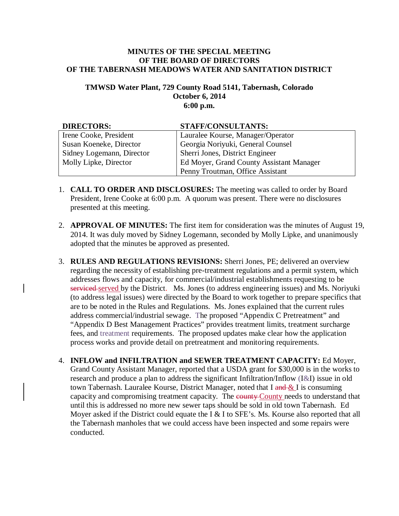## **MINUTES OF THE SPECIAL MEETING OF THE BOARD OF DIRECTORS OF THE TABERNASH MEADOWS WATER AND SANITATION DISTRICT**

## **TMWSD Water Plant, 729 County Road 5141, Tabernash, Colorado October 6, 2014 6:00 p.m.**

| <b>DIRECTORS:</b>         | <b>STAFF/CONSULTANTS:</b>                |
|---------------------------|------------------------------------------|
| Irene Cooke, President    | Lauralee Kourse, Manager/Operator        |
| Susan Koeneke, Director   | Georgia Noriyuki, General Counsel        |
| Sidney Logemann, Director | Sherri Jones, District Engineer          |
| Molly Lipke, Director     | Ed Moyer, Grand County Assistant Manager |
|                           | Penny Troutman, Office Assistant         |

- 1. **CALL TO ORDER AND DISCLOSURES:** The meeting was called to order by Board President, Irene Cooke at 6:00 p.m. A quorum was present. There were no disclosures presented at this meeting.
- 2. **APPROVAL OF MINUTES:** The first item for consideration was the minutes of August 19, 2014. It was duly moved by Sidney Logemann, seconded by Molly Lipke, and unanimously adopted that the minutes be approved as presented.
- 3. **RULES AND REGULATIONS REVISIONS:** Sherri Jones, PE; delivered an overview regarding the necessity of establishing pre-treatment regulations and a permit system, which addresses flows and capacity, for commercial/industrial establishments requesting to be serviced served by the District. Ms. Jones (to address engineering issues) and Ms. Noriyuki (to address legal issues) were directed by the Board to work together to prepare specifics that are to be noted in the Rules and Regulations. Ms. Jones explained that the current rules address commercial/industrial sewage. The proposed "Appendix C Pretreatment" and "Appendix D Best Management Practices" provides treatment limits, treatment surcharge fees, and treatment requirements. The proposed updates make clear how the application process works and provide detail on pretreatment and monitoring requirements.
- 4. **INFLOW and INFILTRATION and SEWER TREATMENT CAPACITY:** Ed Moyer, Grand County Assistant Manager, reported that a USDA grant for \$30,000 is in the works to research and produce a plan to address the significant Infiltration/Inflow (I&I) issue in old town Tabernash. Lauralee Kourse, District Manager, noted that I and & I is consuming capacity and compromising treatment capacity. The equally County needs to understand that until this is addressed no more new sewer taps should be sold in old town Tabernash. Ed Moyer asked if the District could equate the I & I to SFE's. Ms. Kourse also reported that all the Tabernash manholes that we could access have been inspected and some repairs were conducted.